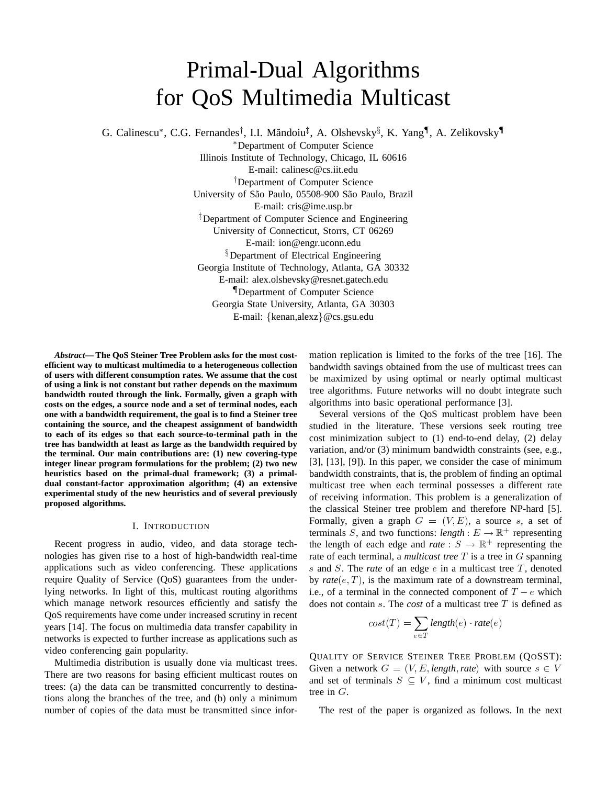# Primal-Dual Algorithms for QoS Multimedia Multicast

G. Calinescu\*, C.G. Fernandes<sup>†</sup>, I.I. Măndoiu<sup>‡</sup>, A. Olshevsky<sup>§</sup>, K. Yang<sup>¶</sup>, A. Zelikovsky<sup>¶</sup>

 Department of Computer Science Illinois Institute of Technology, Chicago, IL 60616 E-mail: calinesc@cs.iit.edu Department of Computer Science University of São Paulo, 05508-900 São Paulo, Brazil E-mail: cris@ime.usp.br - Department of Computer Science and Engineering University of Connecticut, Storrs, CT 06269 E-mail: ion@engr.uconn.edu <sup>§</sup>Department of Electrical Engineering Georgia Institute of Technology, Atlanta, GA 30332 E-mail: alex.olshevsky@resnet.gatech.edu Department of Computer Science Georgia State University, Atlanta, GA 30303 E-mail: {kenan,alexz} @cs.gsu.edu

*Abstract***— The QoS Steiner Tree Problem asks for the most costefficient way to multicast multimedia to a heterogeneous collection of users with different consumption rates. We assume that the cost of using a link is not constant but rather depends on the maximum bandwidth routed through the link. Formally, given a graph with costs on the edges, a source node and a set of terminal nodes, each one with a bandwidth requirement, the goal is to find a Steiner tree containing the source, and the cheapest assignment of bandwidth to each of its edges so that each source-to-terminal path in the tree has bandwidth at least as large as the bandwidth required by the terminal. Our main contributions are: (1) new covering-type integer linear program formulations for the problem; (2) two new heuristics based on the primal-dual framework; (3) a primaldual constant-factor approximation algorithm; (4) an extensive experimental study of the new heuristics and of several previously proposed algorithms.**

# I. INTRODUCTION

Recent progress in audio, video, and data storage technologies has given rise to a host of high-bandwidth real-time applications such as video conferencing. These applications require Quality of Service (QoS) guarantees from the underlying networks. In light of this, multicast routing algorithms which manage network resources efficiently and satisfy the QoS requirements have come under increased scrutiny in recent years [14]. The focus on multimedia data transfer capability in networks is expected to further increase as applications such as video conferencing gain popularity.

Multimedia distribution is usually done via multicast trees. There are two reasons for basing efficient multicast routes on trees: (a) the data can be transmitted concurrently to destinations along the branches of the tree, and (b) only a minimum number of copies of the data must be transmitted since information replication is limited to the forks of the tree [16]. The bandwidth savings obtained from the use of multicast trees can be maximized by using optimal or nearly optimal multicast tree algorithms. Future networks will no doubt integrate such algorithms into basic operational performance [3].

Several versions of the QoS multicast problem have been studied in the literature. These versions seek routing tree cost minimization subject to (1) end-to-end delay, (2) delay variation, and/or (3) minimum bandwidth constraints (see, e.g., [3], [13], [9]). In this paper, we consider the case of minimum bandwidth constraints, that is, the problem of finding an optimal multicast tree when each terminal possesses a different rate of receiving information. This problem is a generalization of the classical Steiner tree problem and therefore NP-hard [5]. Formally, given a graph  $G = (V, E)$ , a source s, a set of terminals S, and two functions: *length* :  $E \rightarrow \mathbb{R}^+$  representing the length of each edge and *rate* :  $S \rightarrow \mathbb{R}^+$  representing the rate of each terminal, a *multicast tree*  $T$  is a tree in  $G$  spanning  $s$  and  $S$ . The *rate* of an edge  $e$  in a multicast tree  $T$ , denoted by  $\textit{rate}(e, T)$ , is the maximum rate of a downstream terminal, i.e., of a terminal in the connected component of  $T - e$  which does not contain  $s$ . The *cost* of a multicast tree  $T$  is defined as

$$
cost(T) = \sum_{e \in T} length(e) \cdot rate(e)
$$

QUALITY OF SERVICE STEINER TREE PROBLEM (QOSST): Given a network  $G = (V, E, length, rate)$  with source  $s \in V$ and set of terminals  $S \subseteq V$ , find a minimum cost multicast tree in  $G$ .

The rest of the paper is organized as follows. In the next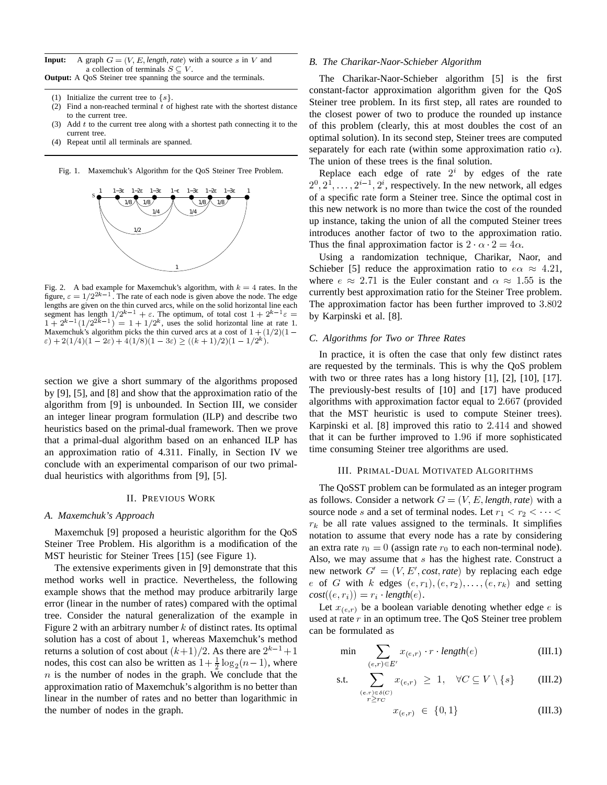**Input:** A graph  $G = (V, E, length, rate)$  with a source s in V and a collection of terminals  $S \subseteq V$ . **Output:** A QoS Steiner tree spanning the source and the terminals.

- (1) Initialize the current tree to  $\{s\}$ .
- (2) Find a non-reached terminal  $t$  of highest rate with the shortest distance to the current tree.
- (3) Add  $t$  to the current tree along with a shortest path connecting it to the current tree.
- (4) Repeat until all terminals are spanned.





Fig. 2. A bad example for Maxemchuk's algorithm, with  $k=4$  rates. In the figure,  $\varepsilon = 1/2^{2k-1}$ . The rate of each node is given above the node. The edge lengths are given on the thin curved arcs, while on the solid horizontal line each segment has length  $1/2^{k-1} + \varepsilon$ . The optimum, of total cost  $1 + 2^{k-1}\varepsilon = -$  by Karpin  $1 + 2^{k-1}(1/2^{2k-1}) = 1 + 1/2^k$ , uses the solid horizontal line at rate 1. Maxemchuk's algorithm picks the thin curved arcs at a cost of  $1 + (1/2)(1 \epsilon) + 2(1/4)(1 - 2\epsilon) + 4(1/8)(1 - 3\epsilon) \geq ((k+1)/2)(1 - 1/2^k).$ 

section we give a short summary of the algorithms proposed by [9], [5], and [8] and show that the approximation ratio of the algorithm from [9] is unbounded. In Section III, we consider an integer linear program formulation (ILP) and describe two heuristics based on the primal-dual framework. Then we prove that a primal-dual algorithm based on an enhanced ILP has an approximation ratio of 4.311. Finally, in Section IV we conclude with an experimental comparison of our two primaldual heuristics with algorithms from [9], [5].

#### II. PREVIOUS WORK

#### *A. Maxemchuk's Approach*

Maxemchuk [9] proposed a heuristic algorithm for the QoS Steiner Tree Problem. His algorithm is a modification of the MST heuristic for Steiner Trees [15] (see Figure 1).

The extensive experiments given in [9] demonstrate that this method works well in practice. Nevertheless, the following example shows that the method may produce arbitrarily large error (linear in the number of rates) compared with the optimal tree. Consider the natural generalization of the example in Figure 2 with an arbitrary number  $k$  of distinct rates. Its optimal solution has a cost of about 1, whereas Maxemchuk's method returns a solution of cost about  $(k+1)/2$ . As there are  $2^{k-1}+1$ nodes, this cost can also be written as  $1 + \frac{1}{2} \log_2(n-1)$ , where  $n$  is the number of nodes in the graph. We conclude that the approximation ratio of Maxemchuk's algorithm is no better than linear in the number of rates and no better than logarithmic in the number of nodes in the graph.

#### *B. The Charikar-Naor-Schieber Algorithm*

The Charikar-Naor-Schieber algorithm [5] is the first constant-factor approximation algorithm given for the QoS Steiner tree problem. In its first step, all rates are rounded to the closest power of two to produce the rounded up instance of this problem (clearly, this at most doubles the cost of an optimal solution). In its second step, Steiner trees are computed separately for each rate (within some approximation ratio  $\alpha$ ). The union of these trees is the final solution.

Replace each edge of rate  $2^i$  by edges of the rate  ${2^0, 2^1, \ldots, 2^{i-1}, 2^i}$ , respectively. In the new network, all edges of a specific rate form a Steiner tree. Since the optimal cost in this new network is no more than twice the cost of the rounded up instance, taking the union of all the computed Steiner trees introduces another factor of two to the approximation ratio. Thus the final approximation factor is  $2 \cdot \alpha \cdot 2 = 4\alpha$ .

Using a randomization technique, Charikar, Naor, and Schieber [5] reduce the approximation ratio to  $e\alpha \approx 4.21$ , where  $e \approx 2.71$  is the Euler constant and  $\alpha \approx 1.55$  is the currently best approximation ratio for the Steiner Tree problem. The approximation factor has been further improved to  $3.802$ by Karpinski et al. [8].

# *C. Algorithms for Two or Three Rates*

In practice, it is often the case that only few distinct rates are requested by the terminals. This is why the QoS problem with two or three rates has a long history  $[1]$ ,  $[2]$ ,  $[10]$ ,  $[17]$ . The previously-best results of [10] and [17] have produced algorithms with approximation factor equal to  $2.667$  (provided that the MST heuristic is used to compute Steiner trees). Karpinski et al.  $[8]$  improved this ratio to  $2.414$  and showed that it can be further improved to  $1.96$  if more sophisticated time consuming Steiner tree algorithms are used.

## III. PRIMAL-DUAL MOTIVATED ALGORITHMS

The QoSST problem can be formulated as an integer program as follows. Consider a network  $G = (V, E, length, rate)$  with a source node s and a set of terminal nodes. Let  $r_1 < r_2 < \cdots <$  $r_k$  be all rate values assigned to the terminals. It simplifies notation to assume that every node has a rate by considering an extra rate  $r_0 = 0$  (assign rate  $r_0$  to each non-terminal node). Also, we may assume that  $s$  has the highest rate. Construct a new network  $G' = (V, E', cost, rate)$  by replacing each edge  $e$  of  $G$  with  $k$  edges  $(e, r_1), (e, r_2), \ldots, (e, r_k)$  and setting  $cost((e, r_i)) = r_i \cdot length(e).$ 

Let  $x_{(e,r)}$  be a boolean variable denoting whether edge e is used at rate  $r$  in an optimum tree. The QoS Steiner tree problem can be formulated as

$$
\min \sum_{(e,r)\in E'} x_{(e,r)} \cdot r \cdot length(e) \tag{III.1}
$$

s.t. 
$$
\sum_{\substack{(e,r)\in\delta(C)\\r\geq r_C}} x_{(e,r)} \geq 1, \quad \forall C \subseteq V \setminus \{s\}
$$
 (III.2)

$$
x_{(e,r)} \in \{0,1\} \tag{III.3}
$$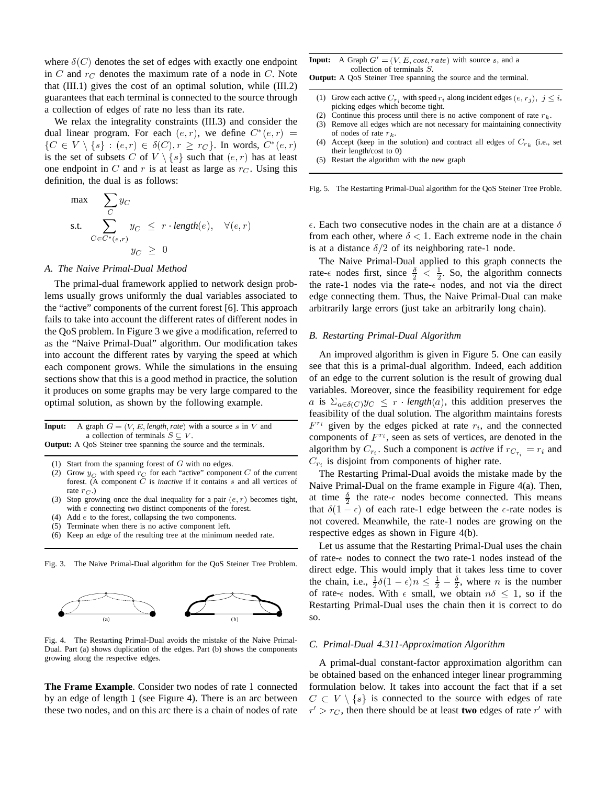where  $\delta(C)$  denotes the set of edges with exactly one endpoint in C and  $r_C$  denotes the maximum rate of a node in C. Note that (III.1) gives the cost of an optimal solution, while (III.2) guarantees that each terminal is connected to the source through a collection of edges of rate no less than its rate.

We relax the integrality constraints (III.3) and consider the dual linear program. For each  $(e, r)$ , we define  $C^*(e, r) =$  of node  $\{C \in V \setminus \{s\} : (e,r) \in \delta(C), r \geq r_C\}$ . In words,  $C^*(e,r)$ is the set of subsets C of  $V \setminus \{s\}$  such that  $(e, r)$  has at least one endpoint in  $C$  and  $r$  is at least as large as  $r<sub>C</sub>$ . Using this definition, the dual is as follows:

$$
\max \sum_{C} y_C
$$
\ns.t. 
$$
\sum_{C \in C^*(e,r)} y_C \leq r \cdot length(e), \quad \forall (e,r)
$$
\n
$$
y_C \geq 0
$$

#### *A. The Naive Primal-Dual Method*

The primal-dual framework applied to network design problems usually grows uniformly the dual variables associated to the "active" components of the current forest [6]. This approach fails to take into account the different rates of different nodes in the QoS problem. In Figure 3 we give a modification, referred to as the "Naive Primal-Dual" algorithm. Our modification takes into account the different rates by varying the speed at which each component grows. While the simulations in the ensuing sections show that this is a good method in practice, the solution it produces on some graphs may be very large compared to the optimal solution, as shown by the following example.

| <b>Input:</b> A graph $G = (V, E, length, rate)$ with a source s in V and |    |
|---------------------------------------------------------------------------|----|
| a collection of terminals $S \subseteq V$ .                               | сc |
| <b>Output:</b> A OoS Steiner tree spanning the source and the terminals.  |    |

- (1) Start from the spanning forest of  $G$  with no edges.
- (2) Grow  $y_C$  with speed  $r_C$  for each "active" component C of the current forest. (A component  $C$  is *inactive* if it contains  $s$  and all vertices of rate  $r_C$ .)
- (3) Stop growing once the dual inequality for a pair  $(e, r)$  becomes tight, with  $e$  connecting two distinct components of the forest.
- (4) Add  $e$  to the forest, collapsing the two components.
- (5) Terminate when there is no active component left.
- (6) Keep an edge of the resulting tree at the minimum needed rate.

Fig. 3. The Naive Primal-Dual algorithm for the QoS Steiner Tree Problem.



Fig. 4. The Restarting Primal-Dual avoids the mistake of the Naive Primal-Dual. Part (a) shows duplication of the edges. Part (b) shows the components growing along the respective edges.

**The Frame Example**. Consider two nodes of rate 1 connected by an edge of length 1 (see Figure 4). There is an arc between these two nodes, and on this arc there is a chain of nodes of rate

| <b>Input:</b> A Graph $G' = (V, E, cost, rate)$ with source s, and a |  |  |  |
|----------------------------------------------------------------------|--|--|--|
| collection of terminals $S$ .                                        |  |  |  |

**Output:** A QoS Steiner Tree spanning the source and the terminal.

- (1) Grow each active  $C_{r_i}$  with speed  $r_i$  along incident edges  $(e, r_j)$ ,  $j \leq i$ , picking edges which become tight.
- (2) Continue this process until there is no active component of rate  $r_k$ .
- (3) Remove all edges which are not necessary for maintaining connectivity of nodes of rate  $r_k$ .
- (4) Accept (keep in the solution) and contract all edges of  $C_{r_k}$  (i.e., set their length/cost to 0)
- (5) Restart the algorithm with the new graph

Fig. 5. The Restarting Primal-Dual algorithm for the QoS Steiner Tree Proble.

 $\epsilon$ . Each two consecutive nodes in the chain are at a distance  $\delta$ from each other, where  $\delta$  < 1. Each extreme node in the chain is at a distance  $\delta/2$  of its neighboring rate-1 node.

The Naive Primal-Dual applied to this graph connects the rate- $\epsilon$  nodes first, since  $\frac{\delta}{2} < \frac{1}{2}$ . So, the algorithm connects the rate-1 nodes via the rate- $\epsilon$  nodes, and not via the direct edge connecting them. Thus, the Naive Primal-Dual can make arbitrarily large errors (just take an arbitrarily long chain).

#### *B. Restarting Primal-Dual Algorithm*

An improved algorithm is given in Figure 5. One can easily see that this is a primal-dual algorithm. Indeed, each addition of an edge to the current solution is the result of growing dual variables. Moreover, since the feasibility requirement for edge a is  $\Sigma_{a \in \delta(C)} y_C \leq r \cdot length(a)$ , this addition preserves the feasibility of the dual solution. The algorithm maintains forests  $F^{r_i}$  given by the edges picked at rate  $r_i$ , and the connected components of  $F^{r_i}$ , seen as sets of vertices, are denoted in the algorithm by  $C_{r_i}$ . Such a component is *active* if  $r_{C_{r_i}} = r_i$  and  $C_{r_i}$  is disjoint from components of higher rate.

The Restarting Primal-Dual avoids the mistake made by the Naive Primal-Dual on the frame example in Figure 4(a). Then, at time  $\frac{\delta}{\gamma}$  the rate- $\epsilon$  nodes become connected. This means that  $\delta(1-\epsilon)$  of each rate-1 edge between the  $\epsilon$ -rate nodes is not covered. Meanwhile, the rate-1 nodes are growing on the respective edges as shown in Figure 4(b).

Let us assume that the Restarting Primal-Dual uses the chain of rate- $\epsilon$  nodes to connect the two rate-1 nodes instead of the direct edge. This would imply that it takes less time to cover the chain, i.e.,  $\frac{1}{2}\delta(1-\epsilon)n \leq \frac{1}{2}-\frac{\delta}{2}$ , where *n* is the number of rate- $\epsilon$  nodes. With  $\epsilon$  small, we obtain  $n\delta \leq 1$ , so if the Restarting Primal-Dual uses the chain then it is correct to do so.

## *C. Primal-Dual 4.311-Approximation Algorithm*

A primal-dual constant-factor approximation algorithm can be obtained based on the enhanced integer linear programming formulation below. It takes into account the fact that if a set  $C \subset V \setminus \{s\}$  is connected to the source with edges of rate  $r' > r_C$ , then there should be at least **two** edges of rate  $r'$  with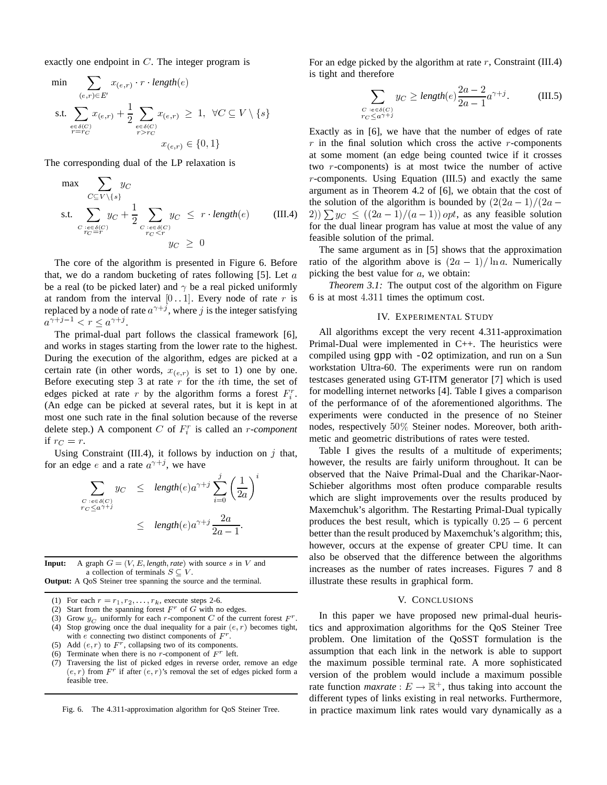exactly one endpoint in  $C$ . The integer program is

$$
\min \sum_{\substack{(e,r)\in E'\\ \text{s.t. } \sum_{\substack{e \in \delta(C)\\r = r_C}} x_{(e,r)} + \frac{1}{2} \sum_{\substack{e \in \delta(C)\\r > rc}} x_{(e,r)} \ge 1, \ \forall C \subseteq V \setminus \{s\}
$$

The corresponding dual of the LP relaxation is

$$
\max \sum_{C \subseteq V \setminus \{s\}} y_C
$$
\n
$$
\text{s.t.} \sum_{\substack{C: e \in \delta(C) \\ C \subset T}} y_C + \frac{1}{2} \sum_{\substack{C: e \in \delta(C) \\ C \subset T}} y_C \le r \cdot \text{length}(e) \quad (\text{III.4})
$$
\n
$$
y_C \ge 0
$$

The core of the algorithm is presented in Figure 6. Before that, we do a random bucketing of rates following  $[5]$ . Let a be a real (to be picked later) and  $\gamma$  be a real picked uniformly at random from the interval  $[0..1]$ . Every node of rate r is replaced by a node of rate  $a^{\gamma+j}$ , where j is the integer satisfying  $a^{\gamma+j-1} < r \leq a^{\gamma+j}$ .

 The primal-dual part follows the classical framework [6], and works in stages starting from the lower rate to the highest. During the execution of the algorithm, edges are picked at a certain rate (in other words,  $x_{(e,r)}$  is set to 1) one by one. Before executing step 3 at rate  $r$  for the *i*th time, the set of edges picked at rate r by the algorithm forms a forest  $F_i^r$ . for modelli (An edge can be picked at several rates, but it is kept in at <sup>c</sup> most one such rate in the final solution because of the reverse delete step.) A component  $C$  of  $F_i^r$  is called an *r*-component if  $r_C = r$ .

Using Constraint (III.4), it follows by induction on  $j$  that, for an edge e and a rate  $a^{\gamma+j}$ , we have

$$
\sum_{\substack{C : e \in \delta(C) \\ r_C \le a^{\gamma + j}}} y_C \le \text{length}(e) a^{\gamma + j} \sum_{i=0}^j \left(\frac{1}{2a}\right)^i
$$
\n
$$
\le \text{length}(e) a^{\gamma + j} \frac{2a}{2a - 1}.
$$

**Input:** A graph  $G = (V, E, length, rate)$  with source s in V and a collection of terminals  $S \subseteq V$ . **Output:** A QoS Steiner tree spanning the source and the terminal.

(1) For each  $r = r_1, r_2, \ldots, r_k$ , execute steps 2-6.

- (2) Start from the spanning forest  $F^r$  of G with no edges.
- (3) Grow  $y_C$  uniformly for each r-component C of the current forest  $F^r$ .
- (4) Stop growing once the dual inequality for a pair  $(e, r)$  becomes tight, with e connecting two distinct components of  $F^r$ .
- (5) Add  $(e, r)$  to  $F^r$ , collapsing two of its components.
- (6) Terminate when there is no r-component of  $F<sup>r</sup>$  left.
- (7) Traversing the list of picked edges in reverse order, remove an edge  $(e, r)$  from  $F^r$  if after  $(e, r)$ 's removal the set of edges picked form a feasible tree.

Fig. 6. The 4.311-approximation algorithm for QoS Steiner Tree.

For an edge picked by the algorithm at rate  $r$ , Constraint (III.4) is tight and therefore

$$
\sum_{\substack{C: e \in \delta(C) \\ C \subset \langle a^{\gamma + j} \rangle}} y_C \ge \text{length}(e) \frac{2a - 2}{2a - 1} a^{\gamma + j}.
$$
 (III.5)

Exactly as in [6], we have that the number of edges of rate  $r$  in the final solution which cross the active  $r$ -components at some moment (an edge being counted twice if it crosses two  $r$ -components) is at most twice the number of active  $r$ -components. Using Equation (III.5) and exactly the same argument as in Theorem 4.2 of [6], we obtain that the cost of the solution of the algorithm is bounded by  $\left(\frac{2(2a-1)}{2a-\cdots}\right)$  $\{f(2a-1)/(a-1)\}\text{opt}$ , as any feasible solution for the dual linear program has value at most the value of any feasible solution of the primal.

The same argument as in [5] shows that the approximation ratio of the algorithm above is  $(2a - 1)/\ln a$ . Numerically picking the best value for  $a$ , we obtain:

*Theorem 3.1:* The output cost of the algorithm on Figure 6 is at most  $4.311$  times the optimum cost.

# IV. EXPERIMENTAL STUDY

<sub>of</sub> testcases generated using GT-ITM generator [7] which is used All algorithms except the very recent 4.311-approximation Primal-Dual were implemented in C++. The heuristics were compiled using gpp with -O2 optimization, and run on a Sun workstation Ultra-60. The experiments were run on random for modelling internet networks [4]. Table I gives a comparison of the performance of of the aforementioned algorithms. The experiments were conducted in the presence of no Steiner nodes, respectively  $50\%$  Steiner nodes. Moreover, both arithmetic and geometric distributions of rates were tested.

Table I gives the results of a multitude of experiments; however, the results are fairly uniform throughout. It can be observed that the Naive Primal-Dual and the Charikar-Naor-Schieber algorithms most often produce comparable results which are slight improvements over the results produced by Maxemchuk's algorithm. The Restarting Primal-Dual typically produces the best result, which is typically  $0.25 - 6$  percent better than the result produced by Maxemchuk's algorithm; this, however, occurs at the expense of greater CPU time. It can also be observed that the difference between the algorithms increases as the number of rates increases. Figures 7 and 8 illustrate these results in graphical form.

## V. CONCLUSIONS

In this paper we have proposed new primal-dual heuristics and approximation algorithms for the QoS Steiner Tree problem. One limitation of the QoSST formulation is the assumption that each link in the network is able to support the maximum possible terminal rate. A more sophisticated version of the problem would include a maximum possible rate function *maxrate* :  $E \to \mathbb{R}^+$ , thus taking into account the different types of links existing in real networks. Furthermore, in practice maximum link rates would vary dynamically as a